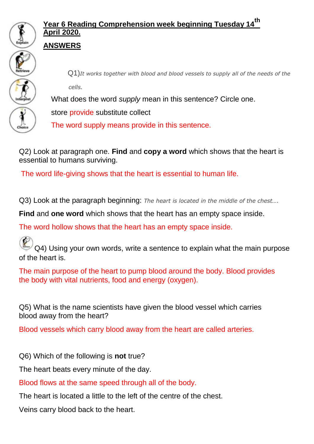

## **Year 6 Reading Comprehension week beginning Tuesday 14th April 2020.**

## **ANSWERS**



Q1)*It works together with blood and blood vessels to supply all of the needs of the cells.*

What does the word *supply* mean in this sentence? Circle one.

store provide substitute collect

The word supply means provide in this sentence.

Q2) Look at paragraph one. **Find** and **copy a word** which shows that the heart is essential to humans surviving.

The word life-giving shows that the heart is essential to human life.

Q3) Look at the paragraph beginning: *The heart is located in the middle of the chest….*

**Find** and **one word** which shows that the heart has an empty space inside.

The word hollow shows that the heart has an empty space inside.

Q4) Using your own words, write a sentence to explain what the main purpose of the heart is.

The main purpose of the heart to pump blood around the body. Blood provides the body with vital nutrients, food and energy (oxygen).

Q5) What is the name scientists have given the blood vessel which carries blood away from the heart?

Blood vessels which carry blood away from the heart are called arteries.

Q6) Which of the following is **not** true?

The heart beats every minute of the day.

Blood flows at the same speed through all of the body.

The heart is located a little to the left of the centre of the chest.

Veins carry blood back to the heart.